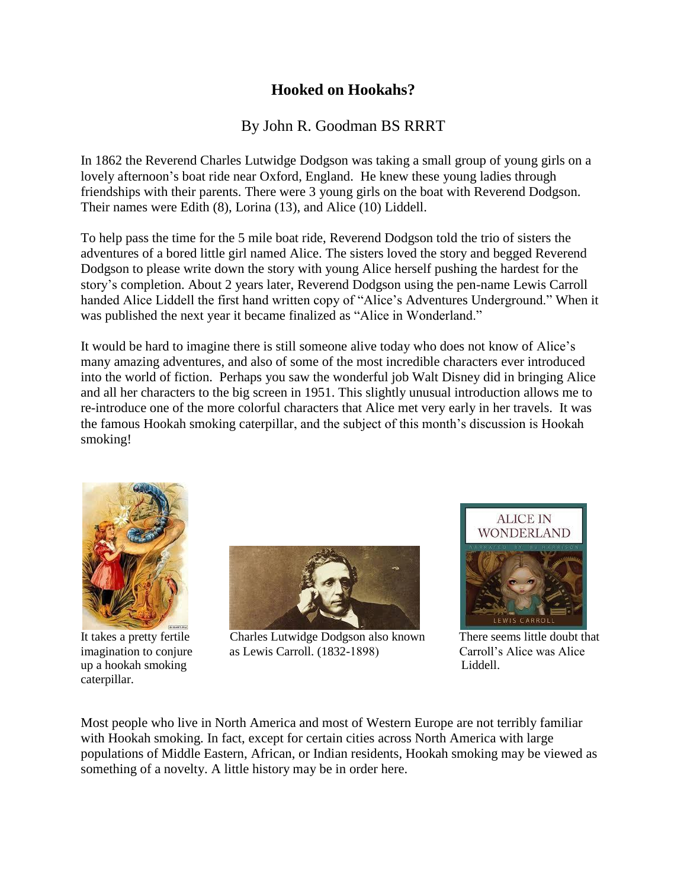## **Hooked on Hookahs?**

## By John R. Goodman BS RRRT

In 1862 the Reverend Charles Lutwidge Dodgson was taking a small group of young girls on a lovely afternoon's boat ride near Oxford, England. He knew these young ladies through friendships with their parents. There were 3 young girls on the boat with Reverend Dodgson. Their names were Edith (8), Lorina (13), and Alice (10) Liddell.

To help pass the time for the 5 mile boat ride, Reverend Dodgson told the trio of sisters the adventures of a bored little girl named Alice. The sisters loved the story and begged Reverend Dodgson to please write down the story with young Alice herself pushing the hardest for the story's completion. About 2 years later, Reverend Dodgson using the pen-name Lewis Carroll handed Alice Liddell the first hand written copy of "Alice's Adventures Underground." When it was published the next year it became finalized as "Alice in Wonderland."

It would be hard to imagine there is still someone alive today who does not know of Alice's many amazing adventures, and also of some of the most incredible characters ever introduced into the world of fiction. Perhaps you saw the wonderful job Walt Disney did in bringing Alice and all her characters to the big screen in 1951. This slightly unusual introduction allows me to re-introduce one of the more colorful characters that Alice met very early in her travels. It was the famous Hookah smoking caterpillar, and the subject of this month's discussion is Hookah smoking!



It takes a pretty fertile up a hookah smoking Liddell. caterpillar.



Charles Lutwidge Dodgson also known There seems little doubt that imagination to conjure as Lewis Carroll. (1832-1898) Carroll's Alice was Alice



Most people who live in North America and most of Western Europe are not terribly familiar with Hookah smoking. In fact, except for certain cities across North America with large populations of Middle Eastern, African, or Indian residents, Hookah smoking may be viewed as something of a novelty. A little history may be in order here.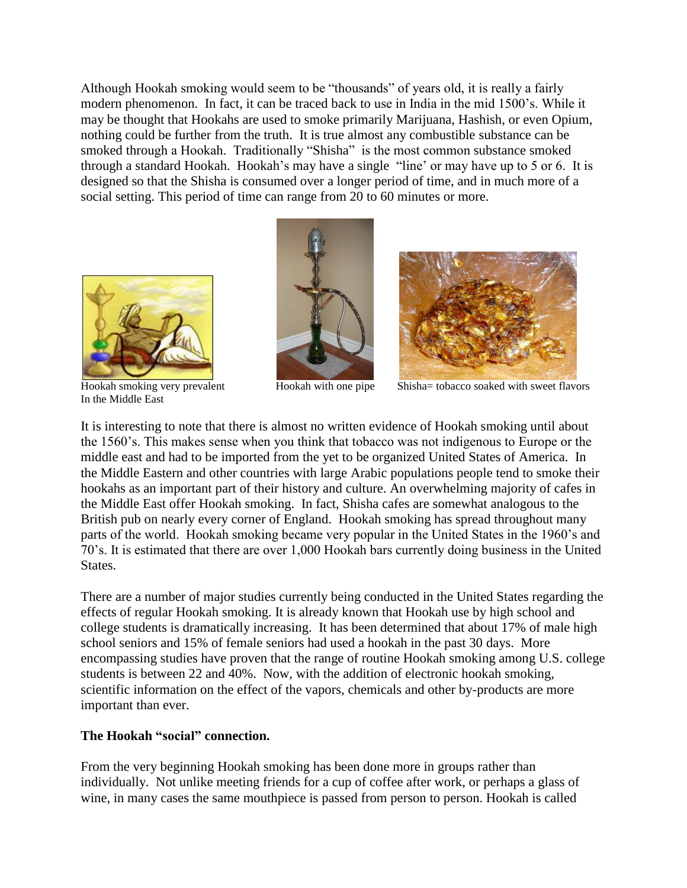Although Hookah smoking would seem to be "thousands" of years old, it is really a fairly modern phenomenon. In fact, it can be traced back to use in India in the mid 1500's. While it may be thought that Hookahs are used to smoke primarily Marijuana, Hashish, or even Opium, nothing could be further from the truth. It is true almost any combustible substance can be smoked through a Hookah. Traditionally "Shisha" is the most common substance smoked through a standard Hookah. Hookah's may have a single "line' or may have up to 5 or 6. It is designed so that the Shisha is consumed over a longer period of time, and in much more of a social setting. This period of time can range from 20 to 60 minutes or more.



Hookah smoking very prevalent In the Middle East





Hookah with one pipe Shisha= tobacco soaked with sweet flavors

It is interesting to note that there is almost no written evidence of Hookah smoking until about the 1560's. This makes sense when you think that tobacco was not indigenous to Europe or the middle east and had to be imported from the yet to be organized United States of America. In the Middle Eastern and other countries with large Arabic populations people tend to smoke their hookahs as an important part of their history and culture. An overwhelming majority of cafes in the Middle East offer Hookah smoking. In fact, Shisha cafes are somewhat analogous to the British pub on nearly every corner of England. Hookah smoking has spread throughout many parts of the world. Hookah smoking became very popular in the United States in the 1960's and 70's. It is estimated that there are over 1,000 Hookah bars currently doing business in the United States.

There are a number of major studies currently being conducted in the United States regarding the effects of regular Hookah smoking. It is already known that Hookah use by high school and college students is dramatically increasing. It has been determined that about 17% of male high school seniors and 15% of female seniors had used a hookah in the past 30 days. More encompassing studies have proven that the range of routine Hookah smoking among U.S. college students is between 22 and 40%. Now, with the addition of electronic hookah smoking, scientific information on the effect of the vapors, chemicals and other by-products are more important than ever.

## **The Hookah "social" connection.**

From the very beginning Hookah smoking has been done more in groups rather than individually. Not unlike meeting friends for a cup of coffee after work, or perhaps a glass of wine, in many cases the same mouthpiece is passed from person to person. Hookah is called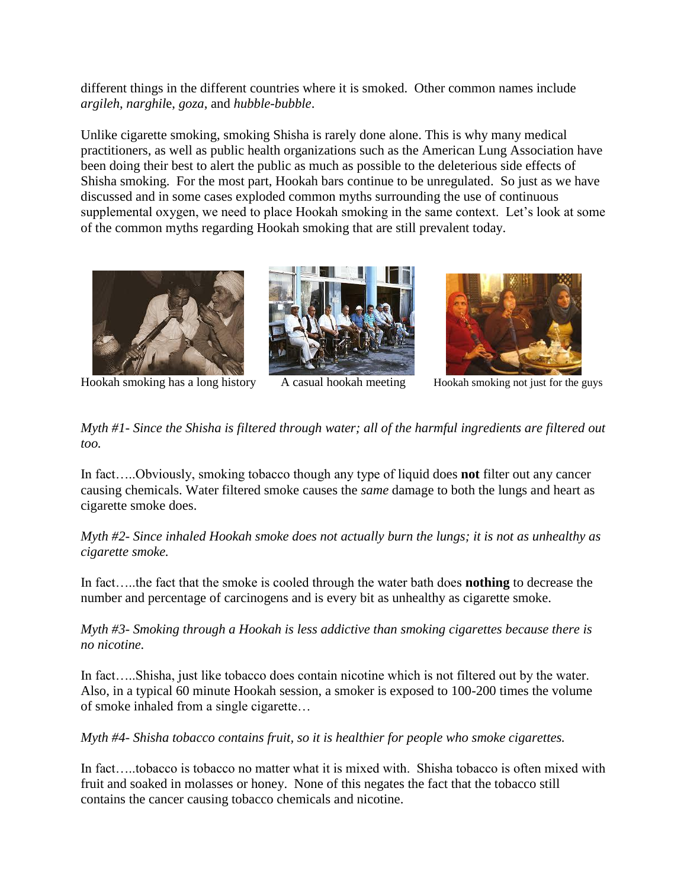different things in the different countries where it is smoked. Other common names include *argileh*, *narghil*e, *goza*, and *hubble-bubble*.

Unlike cigarette smoking, smoking Shisha is rarely done alone. This is why many medical practitioners, as well as public health organizations such as the American Lung Association have been doing their best to alert the public as much as possible to the deleterious side effects of Shisha smoking. For the most part, Hookah bars continue to be unregulated. So just as we have discussed and in some cases exploded common myths surrounding the use of continuous supplemental oxygen, we need to place Hookah smoking in the same context. Let's look at some of the common myths regarding Hookah smoking that are still prevalent today.





Hookah smoking has a long history A casual hookah meeting Hookah smoking not just for the guys



*Myth #1- Since the Shisha is filtered through water; all of the harmful ingredients are filtered out too.*

In fact…..Obviously, smoking tobacco though any type of liquid does **not** filter out any cancer causing chemicals. Water filtered smoke causes the *same* damage to both the lungs and heart as cigarette smoke does.

*Myth #2- Since inhaled Hookah smoke does not actually burn the lungs; it is not as unhealthy as cigarette smoke.*

In fact…..the fact that the smoke is cooled through the water bath does **nothing** to decrease the number and percentage of carcinogens and is every bit as unhealthy as cigarette smoke.

*Myth #3- Smoking through a Hookah is less addictive than smoking cigarettes because there is no nicotine.*

In fact…..Shisha, just like tobacco does contain nicotine which is not filtered out by the water. Also, in a typical 60 minute Hookah session, a smoker is exposed to 100-200 times the volume of smoke inhaled from a single cigarette…

*Myth #4- Shisha tobacco contains fruit, so it is healthier for people who smoke cigarettes.*

In fact…..tobacco is tobacco no matter what it is mixed with. Shisha tobacco is often mixed with fruit and soaked in molasses or honey. None of this negates the fact that the tobacco still contains the cancer causing tobacco chemicals and nicotine.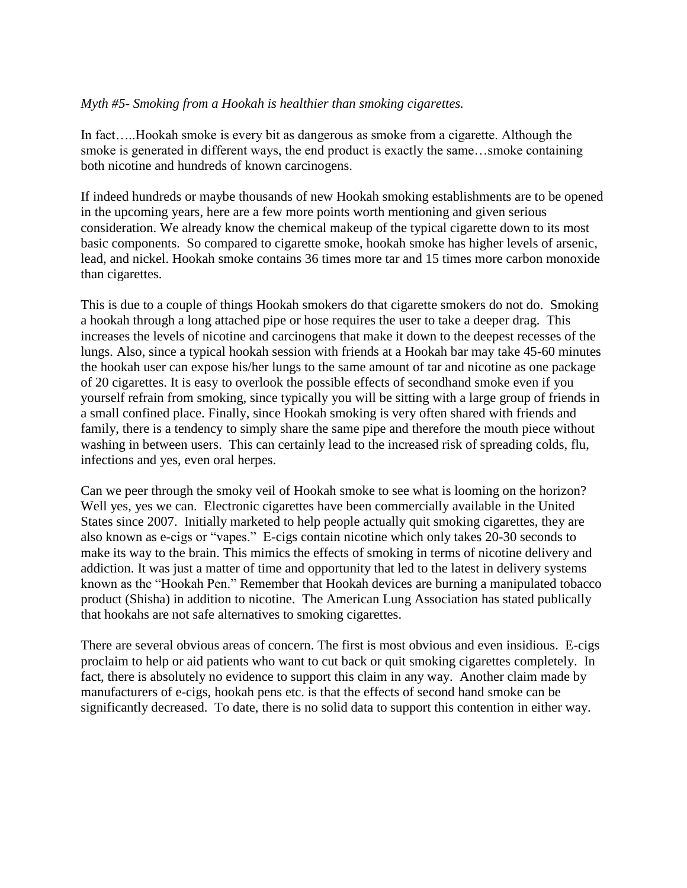## *Myth #5- Smoking from a Hookah is healthier than smoking cigarettes.*

In fact…..Hookah smoke is every bit as dangerous as smoke from a cigarette. Although the smoke is generated in different ways, the end product is exactly the same…smoke containing both nicotine and hundreds of known carcinogens.

If indeed hundreds or maybe thousands of new Hookah smoking establishments are to be opened in the upcoming years, here are a few more points worth mentioning and given serious consideration. We already know the chemical makeup of the typical cigarette down to its most basic components. So compared to cigarette smoke, hookah smoke has higher levels of arsenic, lead, and nickel. Hookah smoke contains 36 times more tar and 15 times more carbon monoxide than cigarettes.

This is due to a couple of things Hookah smokers do that cigarette smokers do not do. Smoking a hookah through a long attached pipe or hose requires the user to take a deeper drag. This increases the levels of nicotine and carcinogens that make it down to the deepest recesses of the lungs. Also, since a typical hookah session with friends at a Hookah bar may take 45-60 minutes the hookah user can expose his/her lungs to the same amount of tar and nicotine as one package of 20 cigarettes. It is easy to overlook the possible effects of secondhand smoke even if you yourself refrain from smoking, since typically you will be sitting with a large group of friends in a small confined place. Finally, since Hookah smoking is very often shared with friends and family, there is a tendency to simply share the same pipe and therefore the mouth piece without washing in between users. This can certainly lead to the increased risk of spreading colds, flu, infections and yes, even oral herpes.

Can we peer through the smoky veil of Hookah smoke to see what is looming on the horizon? Well yes, yes we can. Electronic cigarettes have been commercially available in the United States since 2007. Initially marketed to help people actually quit smoking cigarettes, they are also known as e-cigs or "vapes." E-cigs contain nicotine which only takes 20-30 seconds to make its way to the brain. This mimics the effects of smoking in terms of nicotine delivery and addiction. It was just a matter of time and opportunity that led to the latest in delivery systems known as the "Hookah Pen." Remember that Hookah devices are burning a manipulated tobacco product (Shisha) in addition to nicotine. The American Lung Association has stated publically that hookahs are not safe alternatives to smoking cigarettes.

There are several obvious areas of concern. The first is most obvious and even insidious. E-cigs proclaim to help or aid patients who want to cut back or quit smoking cigarettes completely. In fact, there is absolutely no evidence to support this claim in any way. Another claim made by manufacturers of e-cigs, hookah pens etc. is that the effects of second hand smoke can be significantly decreased. To date, there is no solid data to support this contention in either way.